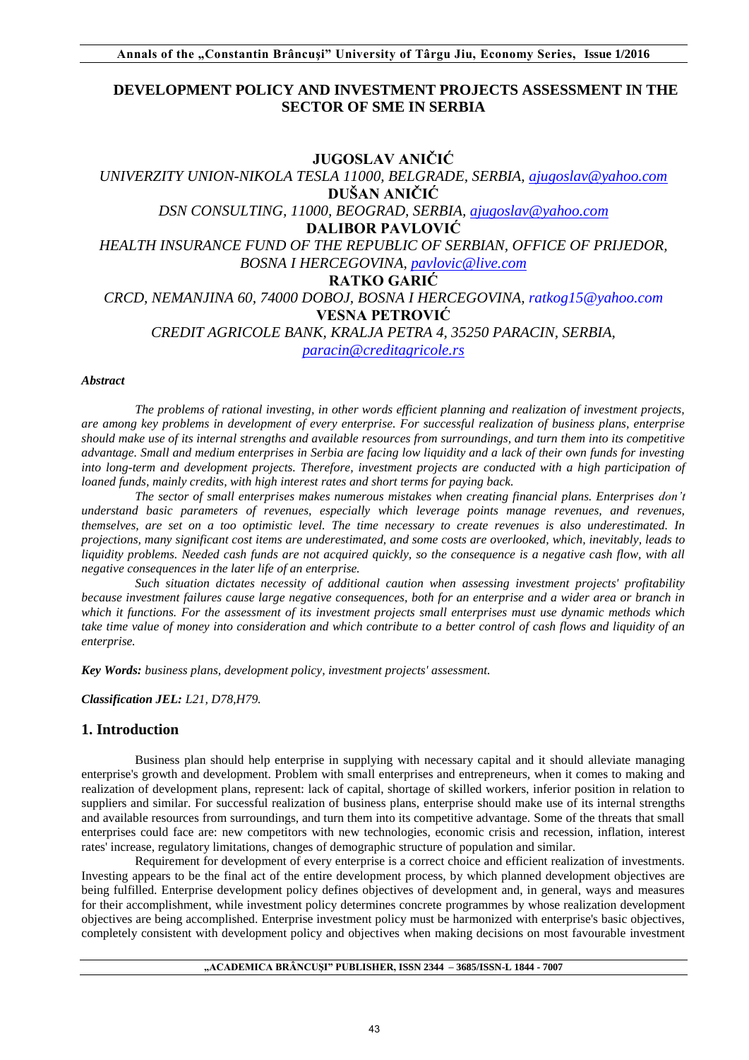# **DEVELOPMENT POLICY AND INVESTMENT PROJECTS ASSESSMENT IN THE SECTOR OF SME IN SERBIA**

# **JUGOSLAV ANIČIĆ**

*UNIVERZITY UNION-NIKOLA TESLA 11000, BELGRADE, SERBIA, [ajugoslav@yahoo.com](mailto:ajugoslav@yahoo.com)* **DUŠAN ANIČIĆ** *DSN CONSULTING, 11000, BEOGRAD, SERBIA, [ajugoslav@yahoo.com](mailto:ajugoslav@yahoo.com)* **DALIBOR PAVLOVIĆ** *HEALTH INSURANCE FUND OF THE REPUBLIC OF SERBIAN, OFFICE OF PRIJEDOR, BOSNA I HERCEGOVINA, [pavlovic@live.com](mailto:pavlovic@live.com)* **RATKO GARIĆ** *CRCD, NEMANJINA 60, 74000 DOBOJ, BOSNA I HERCEGOVINA, ratkog15@yahoo.com* **VESNA PETROVIĆ** *CREDIT AGRICOLE BANK, KRALJA PETRA 4, 35250 PARACIN, SERBIA, [paracin@creditagricole.rs](mailto:paracin@creditagricole.rs)*

#### *Abstract*

*The problems of rational investing, in other words efficient planning and realization of investment projects, are among key problems in development of every enterprise. For successful realization of business plans, enterprise should make use of its internal strengths and available resources from surroundings, and turn them into its competitive advantage. Small and medium enterprises in Serbia are facing low liquidity and a lack of their own funds for investing into long-term and development projects. Therefore, investment projects are conducted with a high participation of loaned funds, mainly credits, with high interest rates and short terms for paying back.* 

*The sector of small enterprises makes numerous mistakes when creating financial plans. Enterprises don't understand basic parameters of revenues, especially which leverage points manage revenues, and revenues, themselves, are set on a too optimistic level. The time necessary to create revenues is also underestimated. In projections, many significant cost items are underestimated, and some costs are overlooked, which, inevitably, leads to liquidity problems. Needed cash funds are not acquired quickly, so the consequence is a negative cash flow, with all negative consequences in the later life of an enterprise.* 

*Such situation dictates necessity of additional caution when assessing investment projects' profitability because investment failures cause large negative consequences, both for an enterprise and a wider area or branch in which it functions. For the assessment of its investment projects small enterprises must use dynamic methods which take time value of money into consideration and which contribute to a better control of cash flows and liquidity of an enterprise.* 

*Key Words: business plans, development policy, investment projects' assessment.*

*Classification JEL: L21, D78,H79.*

# **1. Introduction**

Business plan should help enterprise in supplying with necessary capital and it should alleviate managing enterprise's growth and development. Problem with small enterprises and entrepreneurs, when it comes to making and realization of development plans, represent: lack of capital, shortage of skilled workers, inferior position in relation to suppliers and similar. For successful realization of business plans, enterprise should make use of its internal strengths and available resources from surroundings, and turn them into its competitive advantage. Some of the threats that small enterprises could face are: new competitors with new technologies, economic crisis and recession, inflation, interest rates' increase, regulatory limitations, changes of demographic structure of population and similar.

Requirement for development of every enterprise is a correct choice and efficient realization of investments. Investing appears to be the final act of the entire development process, by which planned development objectives are being fulfilled. Enterprise development policy defines objectives of development and, in general, ways and measures for their accomplishment, while investment policy determines concrete programmes by whose realization development objectives are being accomplished. Enterprise investment policy must be harmonized with enterprise's basic objectives, completely consistent with development policy and objectives when making decisions on most favourable investment

### **"ACADEMICA BRÂNCUŞI" PUBLISHER, ISSN 2344 – 3685/ISSN-L 1844 - 7007**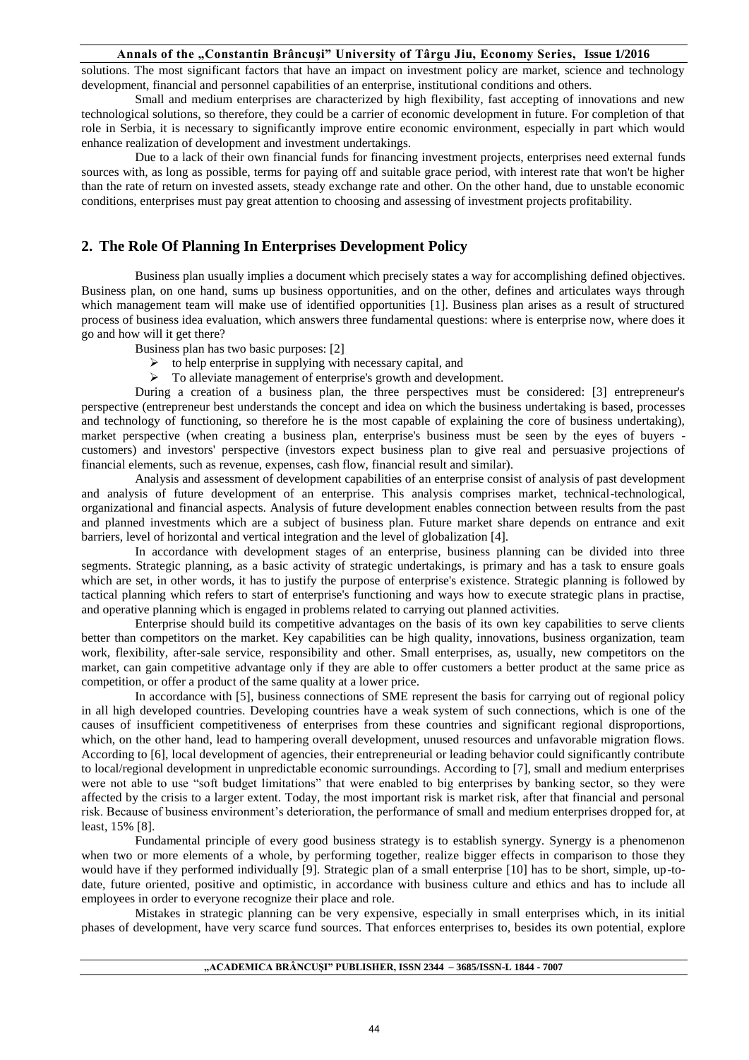solutions. The most significant factors that have an impact on investment policy are market, science and technology development, financial and personnel capabilities of an enterprise, institutional conditions and others.

Small and medium enterprises are characterized by high flexibility, fast accepting of innovations and new technological solutions, so therefore, they could be a carrier of economic development in future. For completion of that role in Serbia, it is necessary to significantly improve entire economic environment, especially in part which would enhance realization of development and investment undertakings.

Due to a lack of their own financial funds for financing investment projects, enterprises need external funds sources with, as long as possible, terms for paying off and suitable grace period, with interest rate that won't be higher than the rate of return on invested assets, steady exchange rate and other. On the other hand, due to unstable economic conditions, enterprises must pay great attention to choosing and assessing of investment projects profitability.

# **2. The Role Of Planning In Enterprises Development Policy**

Business plan usually implies a document which precisely states a way for accomplishing defined objectives. Business plan, on one hand, sums up business opportunities, and on the other, defines and articulates ways through which management team will make use of identified opportunities [1]. Business plan arises as a result of structured process of business idea evaluation, which answers three fundamental questions: where is enterprise now, where does it go and how will it get there?

- Business plan has two basic purposes: [2]
	- $\triangleright$  to help enterprise in supplying with necessary capital, and
	- $\triangleright$  To alleviate management of enterprise's growth and development.

During a creation of a business plan, the three perspectives must be considered: [3] entrepreneur's perspective (entrepreneur best understands the concept and idea on which the business undertaking is based, processes and technology of functioning, so therefore he is the most capable of explaining the core of business undertaking), market perspective (when creating a business plan, enterprise's business must be seen by the eyes of buyers customers) and investors' perspective (investors expect business plan to give real and persuasive projections of financial elements, such as revenue, expenses, cash flow, financial result and similar).

Analysis and assessment of development capabilities of an enterprise consist of analysis of past development and analysis of future development of an enterprise. This analysis comprises market, technical-technological, organizational and financial aspects. Analysis of future development enables connection between results from the past and planned investments which are a subject of business plan. Future market share depends on entrance and exit barriers, level of horizontal and vertical integration and the level of globalization [4].

In accordance with development stages of an enterprise, business planning can be divided into three segments. Strategic planning, as a basic activity of strategic undertakings, is primary and has a task to ensure goals which are set, in other words, it has to justify the purpose of enterprise's existence. Strategic planning is followed by tactical planning which refers to start of enterprise's functioning and ways how to execute strategic plans in practise, and operative planning which is engaged in problems related to carrying out planned activities.

Enterprise should build its competitive advantages on the basis of its own key capabilities to serve clients better than competitors on the market. Key capabilities can be high quality, innovations, business organization, team work, flexibility, after-sale service, responsibility and other. Small enterprises, as, usually, new competitors on the market, can gain competitive advantage only if they are able to offer customers a better product at the same price as competition, or offer a product of the same quality at a lower price.

In accordance with [5], business connections of SME represent the basis for carrying out of regional policy in all high developed countries. Developing countries have a weak system of such connections, which is one of the causes of insufficient competitiveness of enterprises from these countries and significant regional disproportions, which, on the other hand, lead to hampering overall development, unused resources and unfavorable migration flows. According to [6], local development of agencies, their entrepreneurial or leading behavior could significantly contribute to local/regional development in unpredictable economic surroundings. According to [7], small and medium enterprises were not able to use "soft budget limitations" that were enabled to big enterprises by banking sector, so they were affected by the crisis to a larger extent. Today, the most important risk is market risk, after that financial and personal risk. Because of business environment's deterioration, the performance of small and medium enterprises dropped for, at least, 15% [8].

Fundamental principle of every good business strategy is to establish synergy. Synergy is a phenomenon when two or more elements of a whole, by performing together, realize bigger effects in comparison to those they would have if they performed individually [9]. Strategic plan of a small enterprise [10] has to be short, simple, up-todate, future oriented, positive and optimistic, in accordance with business culture and ethics and has to include all employees in order to everyone recognize their place and role.

Mistakes in strategic planning can be very expensive, especially in small enterprises which, in its initial phases of development, have very scarce fund sources. That enforces enterprises to, besides its own potential, explore

#### **"ACADEMICA BRÂNCUŞI" PUBLISHER, ISSN 2344 – 3685/ISSN-L 1844 - 7007**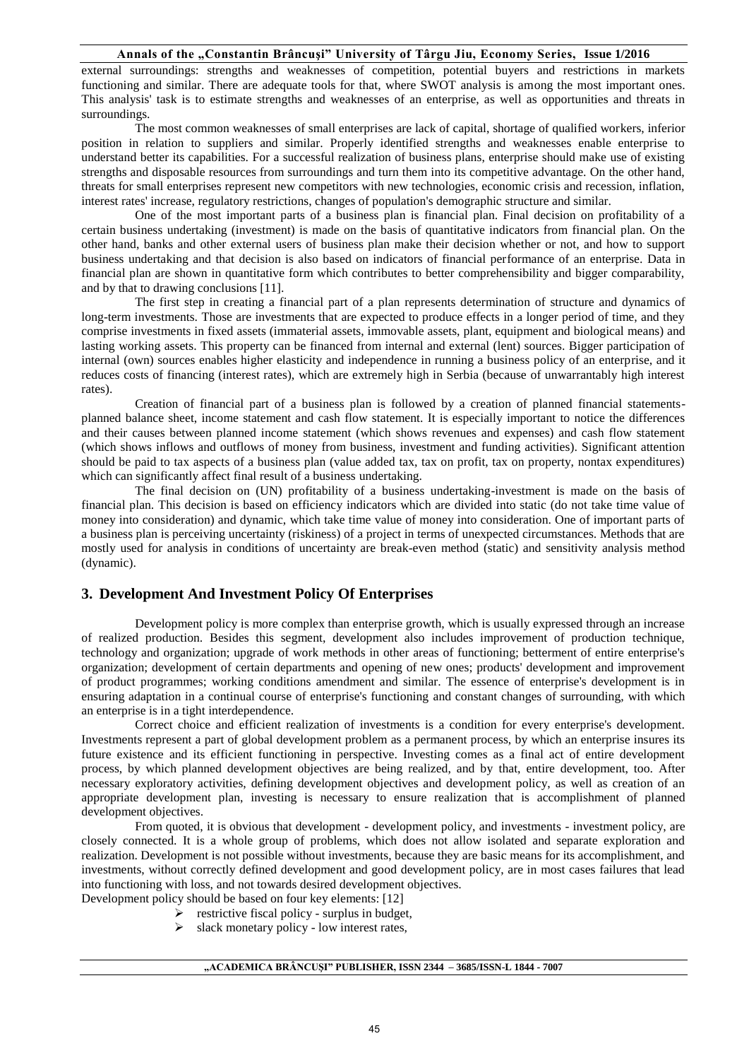external surroundings: strengths and weaknesses of competition, potential buyers and restrictions in markets functioning and similar. There are adequate tools for that, where SWOT analysis is among the most important ones. This analysis' task is to estimate strengths and weaknesses of an enterprise, as well as opportunities and threats in surroundings.

The most common weaknesses of small enterprises are lack of capital, shortage of qualified workers, inferior position in relation to suppliers and similar. Properly identified strengths and weaknesses enable enterprise to understand better its capabilities. For a successful realization of business plans, enterprise should make use of existing strengths and disposable resources from surroundings and turn them into its competitive advantage. On the other hand, threats for small enterprises represent new competitors with new technologies, economic crisis and recession, inflation, interest rates' increase, regulatory restrictions, changes of population's demographic structure and similar.

One of the most important parts of a business plan is financial plan. Final decision on profitability of a certain business undertaking (investment) is made on the basis of quantitative indicators from financial plan. On the other hand, banks and other external users of business plan make their decision whether or not, and how to support business undertaking and that decision is also based on indicators of financial performance of an enterprise. Data in financial plan are shown in quantitative form which contributes to better comprehensibility and bigger comparability, and by that to drawing conclusions [11].

The first step in creating a financial part of a plan represents determination of structure and dynamics of long-term investments. Those are investments that are expected to produce effects in a longer period of time, and they comprise investments in fixed assets (immaterial assets, immovable assets, plant, equipment and biological means) and lasting working assets. This property can be financed from internal and external (lent) sources. Bigger participation of internal (own) sources enables higher elasticity and independence in running a business policy of an enterprise, and it reduces costs of financing (interest rates), which are extremely high in Serbia (because of unwarrantably high interest rates).

Creation of financial part of a business plan is followed by a creation of planned financial statementsplanned balance sheet, income statement and cash flow statement. It is especially important to notice the differences and their causes between planned income statement (which shows revenues and expenses) and cash flow statement (which shows inflows and outflows of money from business, investment and funding activities). Significant attention should be paid to tax aspects of a business plan (value added tax, tax on profit, tax on property, nontax expenditures) which can significantly affect final result of a business undertaking.

The final decision on (UN) profitability of a business undertaking-investment is made on the basis of financial plan. This decision is based on efficiency indicators which are divided into static (do not take time value of money into consideration) and dynamic, which take time value of money into consideration. One of important parts of a business plan is perceiving uncertainty (riskiness) of a project in terms of unexpected circumstances. Methods that are mostly used for analysis in conditions of uncertainty are break-even method (static) and sensitivity analysis method (dynamic).

# **3. Development And Investment Policy Of Enterprises**

Development policy is more complex than enterprise growth, which is usually expressed through an increase of realized production. Besides this segment, development also includes improvement of production technique, technology and organization; upgrade of work methods in other areas of functioning; betterment of entire enterprise's organization; development of certain departments and opening of new ones; products' development and improvement of product programmes; working conditions amendment and similar. The essence of enterprise's development is in ensuring adaptation in a continual course of enterprise's functioning and constant changes of surrounding, with which an enterprise is in a tight interdependence.

Correct choice and efficient realization of investments is a condition for every enterprise's development. Investments represent a part of global development problem as a permanent process, by which an enterprise insures its future existence and its efficient functioning in perspective. Investing comes as a final act of entire development process, by which planned development objectives are being realized, and by that, entire development, too. After necessary exploratory activities, defining development objectives and development policy, as well as creation of an appropriate development plan, investing is necessary to ensure realization that is accomplishment of planned development objectives.

From quoted, it is obvious that development - development policy, and investments - investment policy, are closely connected. It is a whole group of problems, which does not allow isolated and separate exploration and realization. Development is not possible without investments, because they are basic means for its accomplishment, and investments, without correctly defined development and good development policy, are in most cases failures that lead into functioning with loss, and not towards desired development objectives.

Development policy should be based on four key elements: [12]

- $\triangleright$  restrictive fiscal policy surplus in budget,
- $\triangleright$  slack monetary policy low interest rates,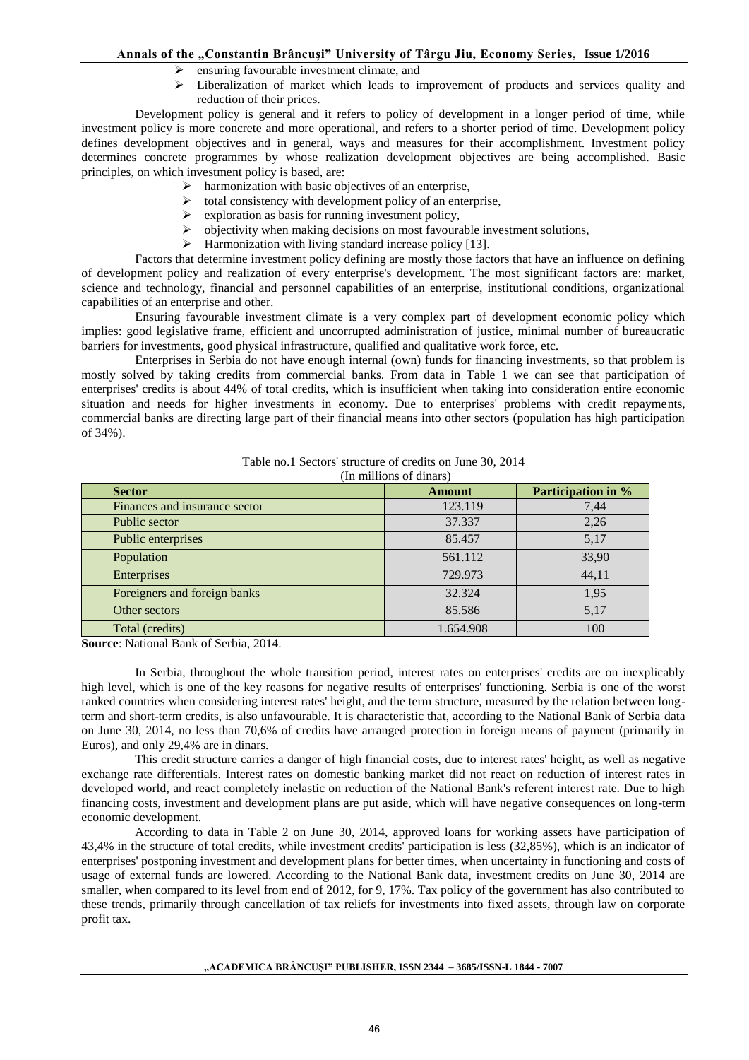- ensuring favourable investment climate, and
- $\triangleright$  Liberalization of market which leads to improvement of products and services quality and reduction of their prices.

Development policy is general and it refers to policy of development in a longer period of time, while investment policy is more concrete and more operational, and refers to a shorter period of time. Development policy defines development objectives and in general, ways and measures for their accomplishment. Investment policy determines concrete programmes by whose realization development objectives are being accomplished. Basic principles, on which investment policy is based, are:

- $\triangleright$  harmonization with basic objectives of an enterprise,
- $\triangleright$  total consistency with development policy of an enterprise,
- $\triangleright$  exploration as basis for running investment policy,
- $\triangleright$  objectivity when making decisions on most favourable investment solutions,
- $\triangleright$  Harmonization with living standard increase policy [13].

Factors that determine investment policy defining are mostly those factors that have an influence on defining of development policy and realization of every enterprise's development. The most significant factors are: market, science and technology, financial and personnel capabilities of an enterprise, institutional conditions, organizational capabilities of an enterprise and other.

Ensuring favourable investment climate is a very complex part of development economic policy which implies: good legislative frame, efficient and uncorrupted administration of justice, minimal number of bureaucratic barriers for investments, good physical infrastructure, qualified and qualitative work force, etc.

Enterprises in Serbia do not have enough internal (own) funds for financing investments, so that problem is mostly solved by taking credits from commercial banks. From data in Table 1 we can see that participation of enterprises' credits is about 44% of total credits, which is insufficient when taking into consideration entire economic situation and needs for higher investments in economy. Due to enterprises' problems with credit repayments, commercial banks are directing large part of their financial means into other sectors (population has high participation of 34%).

Table no.1 Sectors' structure of credits on June 30, 2014

(In millions of dinars)

| <b>Sector</b>                 | <b>Amount</b> | Participation in % |
|-------------------------------|---------------|--------------------|
| Finances and insurance sector | 123.119       | 7,44               |
| Public sector                 | 37.337        | 2,26               |
| Public enterprises            | 85.457        | 5,17               |
| Population                    | 561.112       | 33,90              |
| Enterprises                   | 729.973       | 44,11              |
| Foreigners and foreign banks  | 32.324        | 1,95               |
| Other sectors                 | 85.586        | 5,17               |
| Total (credits)               | 1.654.908     | 100                |

**Source**: National Bank of Serbia, 2014.

In Serbia, throughout the whole transition period, interest rates on enterprises' credits are on inexplicably high level, which is one of the key reasons for negative results of enterprises' functioning. Serbia is one of the worst ranked countries when considering interest rates' height, and the term structure, measured by the relation between longterm and short-term credits, is also unfavourable. It is characteristic that, according to the National Bank of Serbia data on June 30, 2014, no less than 70,6% of credits have arranged protection in foreign means of payment (primarily in Euros), and only 29,4% are in dinars.

This credit structure carries a danger of high financial costs, due to interest rates' height, as well as negative exchange rate differentials. Interest rates on domestic banking market did not react on reduction of interest rates in developed world, and react completely inelastic on reduction of the National Bank's referent interest rate. Due to high financing costs, investment and development plans are put aside, which will have negative consequences on long-term economic development.

According to data in Table 2 on June 30, 2014, approved loans for working assets have participation of 43,4% in the structure of total credits, while investment credits' participation is less (32,85%), which is an indicator of enterprises' postponing investment and development plans for better times, when uncertainty in functioning and costs of usage of external funds are lowered. According to the National Bank data, investment credits on June 30, 2014 are smaller, when compared to its level from end of 2012, for 9, 17%. Tax policy of the government has also contributed to these trends, primarily through cancellation of tax reliefs for investments into fixed assets, through law on corporate profit tax.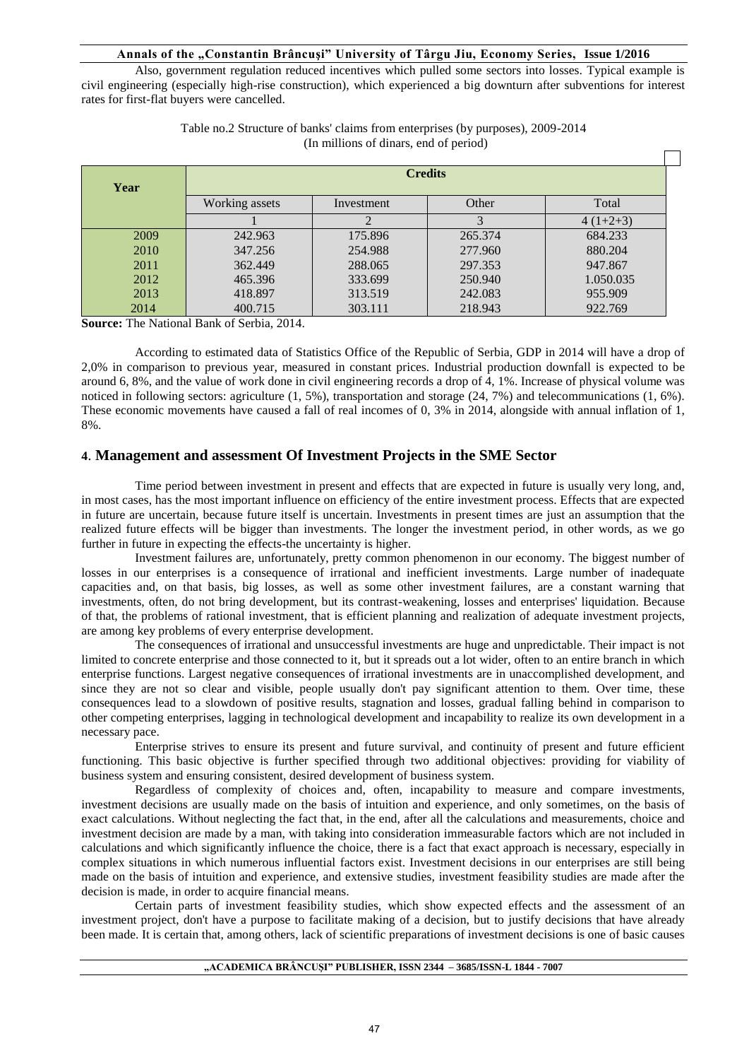Also, government regulation reduced incentives which pulled some sectors into losses. Typical example is civil engineering (especially high-rise construction), which experienced a big downturn after subventions for interest rates for first-flat buyers were cancelled.

| Year | <b>Credits</b> |            |         |            |
|------|----------------|------------|---------|------------|
|      | Working assets | Investment | Other   | Total      |
|      |                |            |         | $4(1+2+3)$ |
| 2009 | 242.963        | 175.896    | 265.374 | 684.233    |
| 2010 | 347.256        | 254.988    | 277.960 | 880.204    |
| 2011 | 362.449        | 288,065    | 297.353 | 947.867    |
| 2012 | 465.396        | 333.699    | 250.940 | 1.050.035  |
| 2013 | 418.897        | 313.519    | 242.083 | 955.909    |
| 2014 | 400.715        | 303.111    | 218.943 | 922.769    |

Table no.2 Structure of banks' claims from enterprises (by purposes), 2009-2014 (In millions of dinars, end of period)

**Source:** The National Bank of Serbia, 2014.

According to estimated data of Statistics Office of the Republic of Serbia, GDP in 2014 will have a drop of 2,0% in comparison to previous year, measured in constant prices. Industrial production downfall is expected to be around 6, 8%, and the value of work done in civil engineering records a drop of 4, 1%. Increase of physical volume was noticed in following sectors: agriculture (1, 5%), transportation and storage (24, 7%) and telecommunications (1, 6%). These economic movements have caused a fall of real incomes of 0, 3% in 2014, alongside with annual inflation of 1, 8%.

# **4**. **Management and assessment Of Investment Projects in the SME Sector**

Time period between investment in present and effects that are expected in future is usually very long, and, in most cases, has the most important influence on efficiency of the entire investment process. Effects that are expected in future are uncertain, because future itself is uncertain. Investments in present times are just an assumption that the realized future effects will be bigger than investments. The longer the investment period, in other words, as we go further in future in expecting the effects-the uncertainty is higher.

Investment failures are, unfortunately, pretty common phenomenon in our economy. The biggest number of losses in our enterprises is a consequence of irrational and inefficient investments. Large number of inadequate capacities and, on that basis, big losses, as well as some other investment failures, are a constant warning that investments, often, do not bring development, but its contrast-weakening, losses and enterprises' liquidation. Because of that, the problems of rational investment, that is efficient planning and realization of adequate investment projects, are among key problems of every enterprise development.

The consequences of irrational and unsuccessful investments are huge and unpredictable. Their impact is not limited to concrete enterprise and those connected to it, but it spreads out a lot wider, often to an entire branch in which enterprise functions. Largest negative consequences of irrational investments are in unaccomplished development, and since they are not so clear and visible, people usually don't pay significant attention to them. Over time, these consequences lead to a slowdown of positive results, stagnation and losses, gradual falling behind in comparison to other competing enterprises, lagging in technological development and incapability to realize its own development in a necessary pace.

Enterprise strives to ensure its present and future survival, and continuity of present and future efficient functioning. This basic objective is further specified through two additional objectives: providing for viability of business system and ensuring consistent, desired development of business system.

Regardless of complexity of choices and, often, incapability to measure and compare investments, investment decisions are usually made on the basis of intuition and experience, and only sometimes, on the basis of exact calculations. Without neglecting the fact that, in the end, after all the calculations and measurements, choice and investment decision are made by a man, with taking into consideration immeasurable factors which are not included in calculations and which significantly influence the choice, there is a fact that exact approach is necessary, especially in complex situations in which numerous influential factors exist. Investment decisions in our enterprises are still being made on the basis of intuition and experience, and extensive studies, investment feasibility studies are made after the decision is made, in order to acquire financial means.

Certain parts of investment feasibility studies, which show expected effects and the assessment of an investment project, don't have a purpose to facilitate making of a decision, but to justify decisions that have already been made. It is certain that, among others, lack of scientific preparations of investment decisions is one of basic causes

#### **"ACADEMICA BRÂNCUŞI" PUBLISHER, ISSN 2344 – 3685/ISSN-L 1844 - 7007**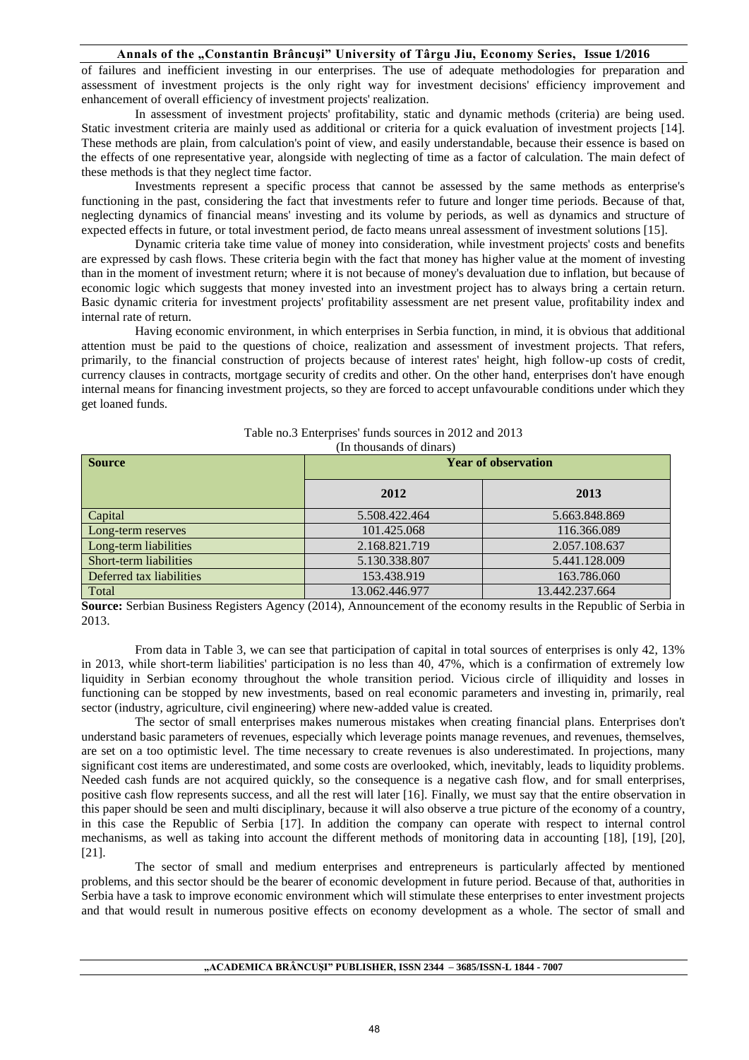of failures and inefficient investing in our enterprises. The use of adequate methodologies for preparation and assessment of investment projects is the only right way for investment decisions' efficiency improvement and enhancement of overall efficiency of investment projects' realization.

In assessment of investment projects' profitability, static and dynamic methods (criteria) are being used. Static investment criteria are mainly used as additional or criteria for a quick evaluation of investment projects [14]. These methods are plain, from calculation's point of view, and easily understandable, because their essence is based on the effects of one representative year, alongside with neglecting of time as a factor of calculation. The main defect of these methods is that they neglect time factor.

Investments represent a specific process that cannot be assessed by the same methods as enterprise's functioning in the past, considering the fact that investments refer to future and longer time periods. Because of that, neglecting dynamics of financial means' investing and its volume by periods, as well as dynamics and structure of expected effects in future, or total investment period, de facto means unreal assessment of investment solutions [15].

Dynamic criteria take time value of money into consideration, while investment projects' costs and benefits are expressed by cash flows. These criteria begin with the fact that money has higher value at the moment of investing than in the moment of investment return; where it is not because of money's devaluation due to inflation, but because of economic logic which suggests that money invested into an investment project has to always bring a certain return. Basic dynamic criteria for investment projects' profitability assessment are net present value, profitability index and internal rate of return.

Having economic environment, in which enterprises in Serbia function, in mind, it is obvious that additional attention must be paid to the questions of choice, realization and assessment of investment projects. That refers, primarily, to the financial construction of projects because of interest rates' height, high follow-up costs of credit, currency clauses in contracts, mortgage security of credits and other. On the other hand, enterprises don't have enough internal means for financing investment projects, so they are forced to accept unfavourable conditions under which they get loaned funds.

| <b>Source</b>            | <b>Year of observation</b> |                |  |
|--------------------------|----------------------------|----------------|--|
|                          | 2012                       | 2013           |  |
| Capital                  | 5.508.422.464              | 5.663.848.869  |  |
| Long-term reserves       | 101.425.068                | 116.366.089    |  |
| Long-term liabilities    | 2.168.821.719              | 2.057.108.637  |  |
| Short-term liabilities   | 5.130.338.807              | 5.441.128.009  |  |
| Deferred tax liabilities | 153.438.919                | 163.786.060    |  |
| Total                    | 13.062.446.977             | 13.442.237.664 |  |

| Table no.3 Enterprises' funds sources in 2012 and 2013 |
|--------------------------------------------------------|
| (In thousands of dinars)                               |

**Source:** Serbian Business Registers Agency (2014), Announcement of the economy results in the Republic of Serbia in 2013.

From data in Table 3, we can see that participation of capital in total sources of enterprises is only 42, 13% in 2013, while short-term liabilities' participation is no less than 40, 47%, which is a confirmation of extremely low liquidity in Serbian economy throughout the whole transition period. Vicious circle of illiquidity and losses in functioning can be stopped by new investments, based on real economic parameters and investing in, primarily, real sector (industry, agriculture, civil engineering) where new-added value is created.

The sector of small enterprises makes numerous mistakes when creating financial plans. Enterprises don't understand basic parameters of revenues, especially which leverage points manage revenues, and revenues, themselves, are set on a too optimistic level. The time necessary to create revenues is also underestimated. In projections, many significant cost items are underestimated, and some costs are overlooked, which, inevitably, leads to liquidity problems. Needed cash funds are not acquired quickly, so the consequence is a negative cash flow, and for small enterprises, positive cash flow represents success, and all the rest will later [16]. Finally, we must say that the entire observation in this paper should be seen and multi disciplinary, because it will also observe a true picture of the economy of a country, in this case the Republic of Serbia [17]. In addition the company can operate with respect to internal control mechanisms, as well as taking into account the different methods of monitoring data in accounting [18], [19], [20], [21].

The sector of small and medium enterprises and entrepreneurs is particularly affected by mentioned problems, and this sector should be the bearer of economic development in future period. Because of that, authorities in Serbia have a task to improve economic environment which will stimulate these enterprises to enter investment projects and that would result in numerous positive effects on economy development as a whole. The sector of small and